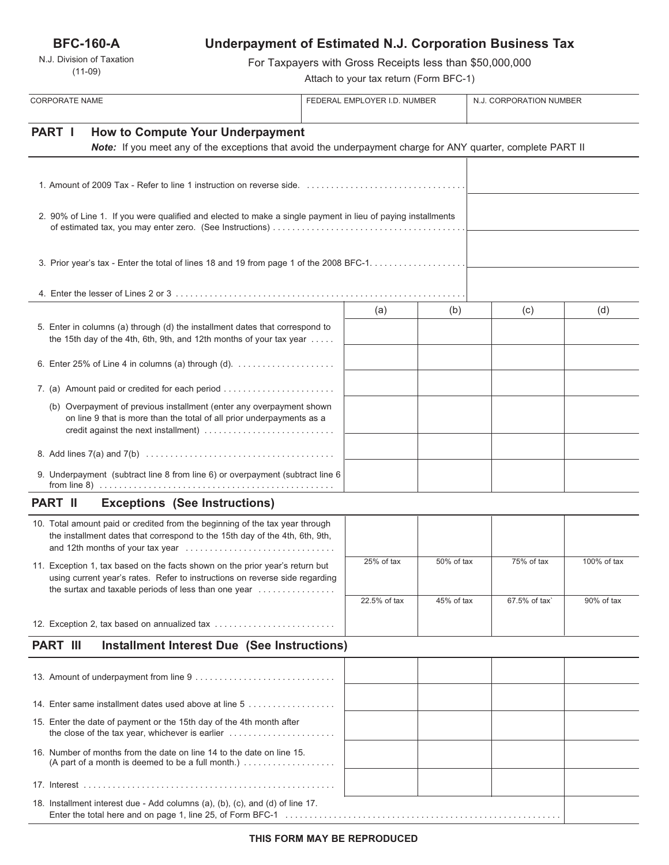**BFC-160-A**

N.J. Division of Taxation (11-09)

# **Underpayment of Estimated N.J. Corporation Business Tax**

For Taxpayers with Gross Receipts less than \$50,000,000

Attach to your tax return (Form BFC-1)

| <b>CORPORATE NAME</b>                                                                                                                                                                                                                           | FEDERAL EMPLOYER I.D. NUMBER |            | N.J. CORPORATION NUMBER |             |
|-------------------------------------------------------------------------------------------------------------------------------------------------------------------------------------------------------------------------------------------------|------------------------------|------------|-------------------------|-------------|
| PART I<br><b>How to Compute Your Underpayment</b><br>Note: If you meet any of the exceptions that avoid the underpayment charge for ANY quarter, complete PART II                                                                               |                              |            |                         |             |
|                                                                                                                                                                                                                                                 |                              |            |                         |             |
| 2. 90% of Line 1. If you were qualified and elected to make a single payment in lieu of paying installments                                                                                                                                     |                              |            |                         |             |
|                                                                                                                                                                                                                                                 |                              |            |                         |             |
|                                                                                                                                                                                                                                                 |                              |            |                         |             |
| 5. Enter in columns (a) through (d) the installment dates that correspond to<br>the 15th day of the 4th, 6th, 9th, and 12th months of your tax year $\dots$ .                                                                                   | (a)                          | (b)        | (c)                     | (d)         |
| 6. Enter 25% of Line 4 in columns (a) through (d). $\ldots$                                                                                                                                                                                     |                              |            |                         |             |
| 7. (a) Amount paid or credited for each period                                                                                                                                                                                                  |                              |            |                         |             |
| (b) Overpayment of previous installment (enter any overpayment shown<br>on line 9 that is more than the total of all prior underpayments as a<br>credit against the next installment)                                                           |                              |            |                         |             |
|                                                                                                                                                                                                                                                 |                              |            |                         |             |
| 9. Underpayment (subtract line 8 from line 6) or overpayment (subtract line 6                                                                                                                                                                   |                              |            |                         |             |
| <b>PART II</b><br><b>Exceptions (See Instructions)</b>                                                                                                                                                                                          |                              |            |                         |             |
| 10. Total amount paid or credited from the beginning of the tax year through<br>the installment dates that correspond to the 15th day of the 4th, 6th, 9th,                                                                                     |                              |            |                         |             |
| 11. Exception 1, tax based on the facts shown on the prior year's return but<br>using current year's rates. Refer to instructions on reverse side regarding<br>the surtax and taxable periods of less than one year $\dots\dots\dots\dots\dots$ | 25% of tax                   | 50% of tax | 75% of tax              | 100% of tax |
|                                                                                                                                                                                                                                                 | 22.5% of tax                 | 45% of tax | 67.5% of tax`           | 90% of tax  |
| 12. Exception 2, tax based on annualized tax                                                                                                                                                                                                    |                              |            |                         |             |
| <b>PART III</b><br><b>Installment Interest Due (See Instructions)</b>                                                                                                                                                                           |                              |            |                         |             |
|                                                                                                                                                                                                                                                 |                              |            |                         |             |
|                                                                                                                                                                                                                                                 |                              |            |                         |             |
| 14. Enter same installment dates used above at line 5                                                                                                                                                                                           |                              |            |                         |             |
| 15. Enter the date of payment or the 15th day of the 4th month after                                                                                                                                                                            |                              |            |                         |             |
| 16. Number of months from the date on line 14 to the date on line 15.<br>(A part of a month is deemed to be a full month.) $\ldots$                                                                                                             |                              |            |                         |             |
|                                                                                                                                                                                                                                                 |                              |            |                         |             |
| 18. Installment interest due - Add columns (a), (b), (c), and (d) of line 17.                                                                                                                                                                   |                              |            |                         |             |

Enter the total here and on page 1, line 25, of Form BFC-1 . . . . . . . . . . . . . . . . . . . . . . . . . . . . . . . . . . . . . . . . . . . . . . . . . . . . . . . . .